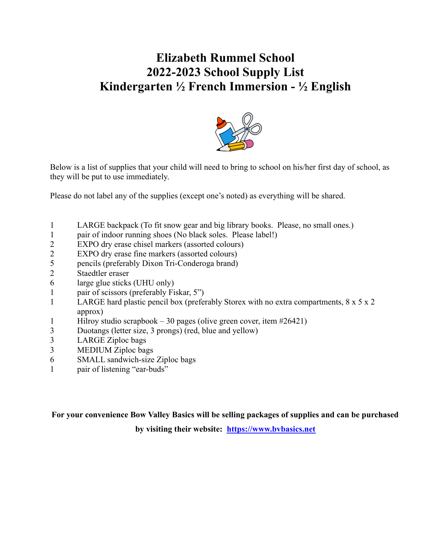## **Elizabeth Rummel School 2022-2023 School Supply List Kindergarten ½ French Immersion - ½ English**



Below is a list of supplies that your child will need to bring to school on his/her first day of school, as they will be put to use immediately.

Please do not label any of the supplies (except one's noted) as everything will be shared.

- 1 LARGE backpack (To fit snow gear and big library books. Please, no small ones.)
- 1 pair of indoor running shoes (No black soles. Please label!)
- 2 EXPO dry erase chisel markers (assorted colours)
- 2 EXPO dry erase fine markers (assorted colours)
- 5 pencils (preferably Dixon Tri-Conderoga brand)
- 2 Staedtler eraser
- 6 large glue sticks (UHU only)
- 1 pair of scissors (preferably Fiskar, 5")
- 1 LARGE hard plastic pencil box (preferably Storex with no extra compartments, 8 x 5 x 2 approx)
- 1 Hilroy studio scrapbook 30 pages (olive green cover, item #26421)
- 3 Duotangs (letter size, 3 prongs) (red, blue and yellow)
- 3 LARGE Ziploc bags
- 3 MEDIUM Ziploc bags
- 6 SMALL sandwich-size Ziploc bags
- 1 pair of listening "ear-buds"

**For your convenience Bow Valley Basics will be selling packages of supplies and can be purchased**

**by visiting their website: https://www.bvbasics.net**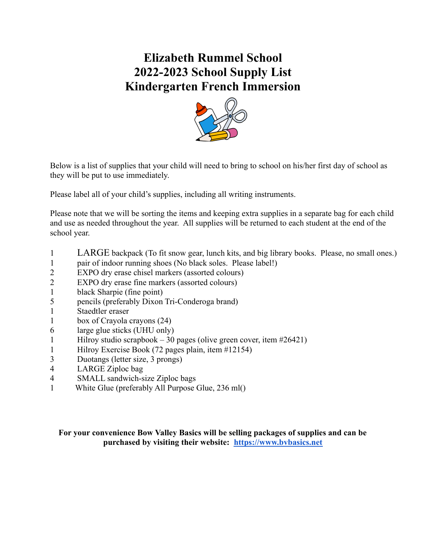## **Elizabeth Rummel School 2022-2023 School Supply List Kindergarten French Immersion**



Below is a list of supplies that your child will need to bring to school on his/her first day of school as they will be put to use immediately.

Please label all of your child's supplies, including all writing instruments.

Please note that we will be sorting the items and keeping extra supplies in a separate bag for each child and use as needed throughout the year. All supplies will be returned to each student at the end of the school year.

- 1 LARGE backpack (To fit snow gear, lunch kits, and big library books. Please, no small ones.)
- 1 pair of indoor running shoes (No black soles. Please label!)
- 2 EXPO dry erase chisel markers (assorted colours)
- 2 EXPO dry erase fine markers (assorted colours)
- 1 black Sharpie (fine point)
- 5 pencils (preferably Dixon Tri-Conderoga brand)
- 1 Staedtler eraser
- 1 box of Crayola crayons (24)
- 6 large glue sticks (UHU only)
- 1 Hilroy studio scrapbook 30 pages (olive green cover, item  $\#26421$ )
- 1 Hilroy Exercise Book (72 pages plain, item #12154)
- 3 Duotangs (letter size, 3 prongs)
- 4 LARGE Ziploc bag
- 4 SMALL sandwich-size Ziploc bags
- 1 White Glue (preferably All Purpose Glue, 236 ml()

#### **For your convenience Bow Valley Basics will be selling packages of supplies and can be purchased by visiting their website: https://www.bvbasics.net**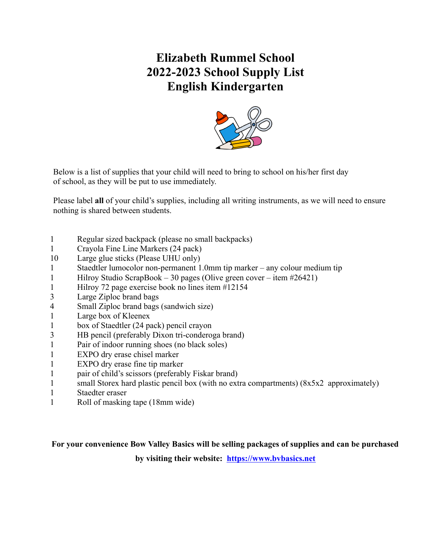## **Elizabeth Rummel School 2022-2023 School Supply List English Kindergarten**



Below is a list of supplies that your child will need to bring to school on his/her first day of school, as they will be put to use immediately.

Please label **all** of your child's supplies, including all writing instruments, as we will need to ensure nothing is shared between students.

- 1 Regular sized backpack (please no small backpacks)
- 1 Crayola Fine Line Markers (24 pack)
- 10 Large glue sticks (Please UHU only)
- 1 Staedtler lumocolor non-permanent 1.0mm tip marker any colour medium tip
- 1 Hilroy Studio ScrapBook 30 pages (Olive green cover item #26421)
- 1 Hilroy 72 page exercise book no lines item #12154
- 3 Large Ziploc brand bags
- 4 Small Ziploc brand bags (sandwich size)
- 1 Large box of Kleenex
- 1 box of Staedtler (24 pack) pencil crayon
- 3 HB pencil (preferably Dixon tri-conderoga brand)
- 1 Pair of indoor running shoes (no black soles)
- 1 EXPO dry erase chisel marker
- 1 EXPO dry erase fine tip marker
- 1 pair of child's scissors (preferably Fiskar brand)
- 1 small Storex hard plastic pencil box (with no extra compartments) (8x5x2 approximately)
- 1 Staedter eraser
- 1 Roll of masking tape (18mm wide)

#### **For your convenience Bow Valley Basics will be selling packages of supplies and can be purchased**

**by visiting their website: https://www.bvbasics.net**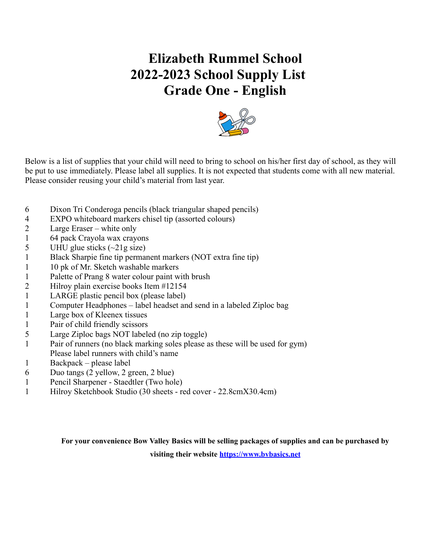# **Elizabeth Rummel School 2022-2023 School Supply List Grade One - English**



Below is a list of supplies that your child will need to bring to school on his/her first day of school, as they will be put to use immediately. Please label all supplies. It is not expected that students come with all new material. Please consider reusing your child's material from last year.

- 6 Dixon Tri Conderoga pencils (black triangular shaped pencils)
- 4 EXPO whiteboard markers chisel tip (assorted colours)
- 2 Large Eraser white only
- 1 64 pack Crayola wax crayons
- 5 UHU glue sticks  $(\sim 21$ g size)
- 1 Black Sharpie fine tip permanent markers (NOT extra fine tip)
- 1 10 pk of Mr. Sketch washable markers
- 1 Palette of Prang 8 water colour paint with brush
- 2 Hilroy plain exercise books Item #12154
- 1 LARGE plastic pencil box (please label)
- 1 Computer Headphones label headset and send in a labeled Ziploc bag
- 1 Large box of Kleenex tissues
- 1 Pair of child friendly scissors
- 5 Large Ziploc bags NOT labeled (no zip toggle)
- 1 Pair of runners (no black marking soles please as these will be used for gym) Please label runners with child's name
- 1 Backpack please label
- 6 Duo tangs (2 yellow, 2 green, 2 blue)
- 1 Pencil Sharpener Staedtler (Two hole)
- 1 Hilroy Sketchbook Studio (30 sheets red cover 22.8cmX30.4cm)

**For your convenience Bow Valley Basics will be selling packages of supplies and can be purchased by**

**visiting their website https://www.bvbasics.net**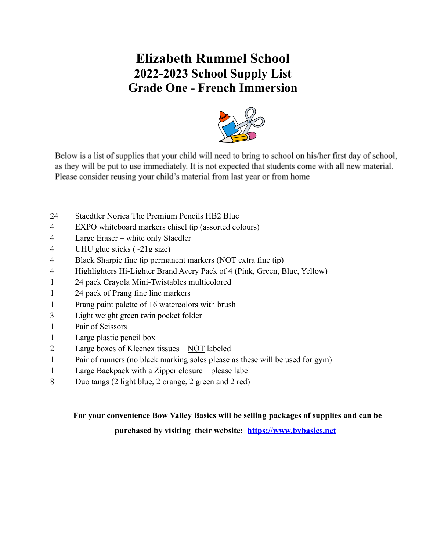## **Elizabeth Rummel School 2022-2023 School Supply List Grade One - French Immersion**



Below is a list of supplies that your child will need to bring to school on his/her first day of school, as they will be put to use immediately. It is not expected that students come with all new material. Please consider reusing your child's material from last year or from home

- Staedtler Norica The Premium Pencils HB2 Blue
- EXPO whiteboard markers chisel tip (assorted colours)
- Large Eraser white only Staedler
- 4 UHU glue sticks  $(\sim 21$ g size)
- Black Sharpie fine tip permanent markers (NOT extra fine tip)
- Highlighters Hi-Lighter Brand Avery Pack of 4 (Pink, Green, Blue, Yellow)
- 24 pack Crayola Mini-Twistables multicolored
- 24 pack of Prang fine line markers
- Prang paint palette of 16 watercolors with brush
- Light weight green twin pocket folder
- Pair of Scissors
- Large plastic pencil box
- Large boxes of Kleenex tissues NOT labeled
- Pair of runners (no black marking soles please as these will be used for gym)
- Large Backpack with a Zipper closure please label
- Duo tangs (2 light blue, 2 orange, 2 green and 2 red)

# **For your convenience Bow Valley Basics will be selling packages of supplies and can be**

**purchased by visiting their website: https://www.bvbasics.net**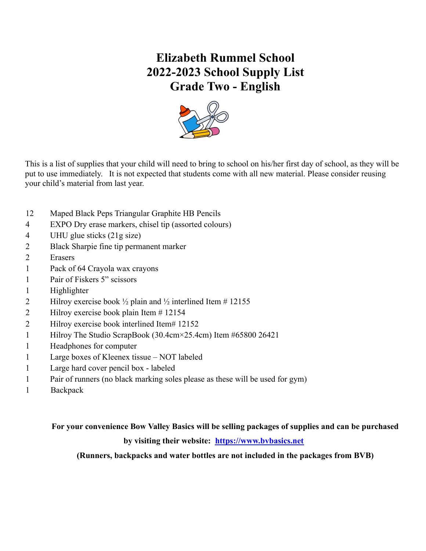## **Elizabeth Rummel School 2022-2023 School Supply List Grade Two - English**



This is a list of supplies that your child will need to bring to school on his/her first day of school, as they will be put to use immediately. It is not expected that students come with all new material. Please consider reusing your child's material from last year.

- 12 Maped Black Peps Triangular Graphite HB Pencils
- 4 EXPO Dry erase markers, chisel tip (assorted colours)
- 4 UHU glue sticks (21g size)
- 2 Black Sharpie fine tip permanent marker
- 2 Erasers
- 1 Pack of 64 Crayola wax crayons
- 1 Pair of Fiskers 5" scissors
- 1 Highlighter
- 2 Hilroy exercise book  $\frac{1}{2}$  plain and  $\frac{1}{2}$  interlined Item # 12155
- 2 Hilroy exercise book plain Item # 12154
- 2 Hilroy exercise book interlined Item# 12152
- 1 Hilroy The Studio ScrapBook (30.4cm×25.4cm) Item #65800 26421
- 1 Headphones for computer
- 1 Large boxes of Kleenex tissue NOT labeled
- 1 Large hard cover pencil box labeled
- 1 Pair of runners (no black marking soles please as these will be used for gym)
- 1 Backpack

### **For your convenience Bow Valley Basics will be selling packages of supplies and can be purchased by visiting their website: https://www.bvbasics.net**

**(Runners, backpacks and water bottles are not included in the packages from BVB)**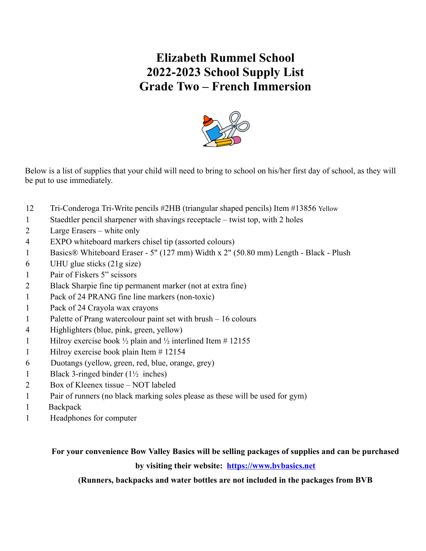## **Elizabeth Rummel School 2022-2023 School Supply List Grade Two – French Immersion**



Below is a list of supplies that your child will need to bring to school on his/her first day of school, as they will be put to use immediately.

- 12 Tri-Conderoga Tri-Write pencils #2HB (triangular shaped pencils) Item #13856 Yellow
- 1 Staedtler pencil sharpener with shavings receptacle twist top, with 2 holes
- 2 Large Erasers white only
- 4 EXPO whiteboard markers chisel tip (assorted colours)
- 1 [Basics® Whiteboard Eraser 5" \(127 mm\) Width x](https://www.ecinteractiveplus.com/101877/Product/BAO/0541700/1029182755) 2" (50.80 mm) Length Black Plush
- 6 UHU glue sticks (21g size)
- 1 Pair of Fiskers 5" scissors
- 2 Black Sharpie fine tip permanent marker (not at extra fine)
- 1 Pack of 24 PRANG fine line markers (non-toxic)
- 1 Pack of 24 Crayola wax crayons
- 1 Palette of Prang watercolour paint set with brush 16 colours
- 4 Highlighters (blue, pink, green, yellow)
- 1 Hilroy exercise book  $\frac{1}{2}$  plain and  $\frac{1}{2}$  interlined Item # 12155
- 1 Hilroy exercise book plain Item # 12154
- 6 Duotangs (yellow, green, red, blue, orange, grey)
- 1 Black 3-ringed binder (1½ inches)
- 2 Box of Kleenex tissue NOT labeled
- 1 Pair of runners (no black marking soles please as these will be used for gym)
- 1 Backpack
- 1 Headphones for computer

### **For your convenience Bow Valley Basics will be selling packages of supplies and can be purchased by visiting their website: [https://www.bvbasics.net](https://www.bvbasics.net/)**

**(Runners, backpacks and water bottles are not included in the packages from BVB**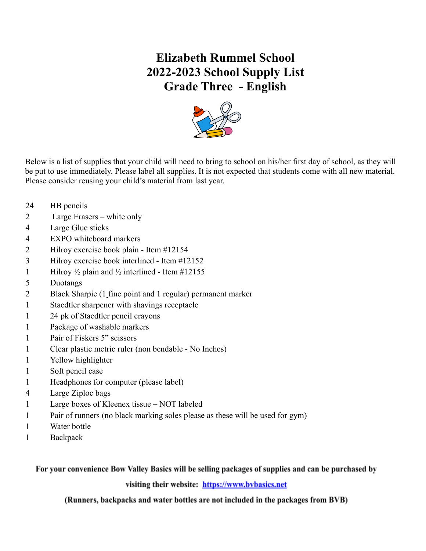## **Elizabeth Rummel School 2022-2023 School Supply List Grade Three - English**



Below is a list of supplies that your child will need to bring to school on his/her first day of school, as they will be put to use immediately. Please label all supplies. It is not expected that students come with all new material. Please consider reusing your child's material from last year.

- HB pencils
- Large Erasers white only
- Large Glue sticks
- EXPO whiteboard markers
- Hilroy exercise book plain Item #12154
- Hilroy exercise book interlined Item #12152
- 1 Hilroy  $\frac{1}{2}$  plain and  $\frac{1}{2}$  interlined Item #12155
- Duotangs
- Black Sharpie (1 fine point and 1 regular) permanent marker
- Staedtler sharpener with shavings receptacle
- 24 pk of Staedtler pencil crayons
- Package of washable markers
- Pair of Fiskers 5" scissors
- Clear plastic metric ruler (non bendable No Inches)
- Yellow highlighter
- Soft pencil case
- Headphones for computer (please label)
- Large Ziploc bags
- Large boxes of Kleenex tissue NOT labeled
- Pair of runners (no black marking soles please as these will be used for gym)
- Water bottle
- Backpack

For your convenience Bow Valley Basics will be selling packages of supplies and can be purchased by

visiting their website: https://www.bybasics.net

(Runners, backpacks and water bottles are not included in the packages from BVB)